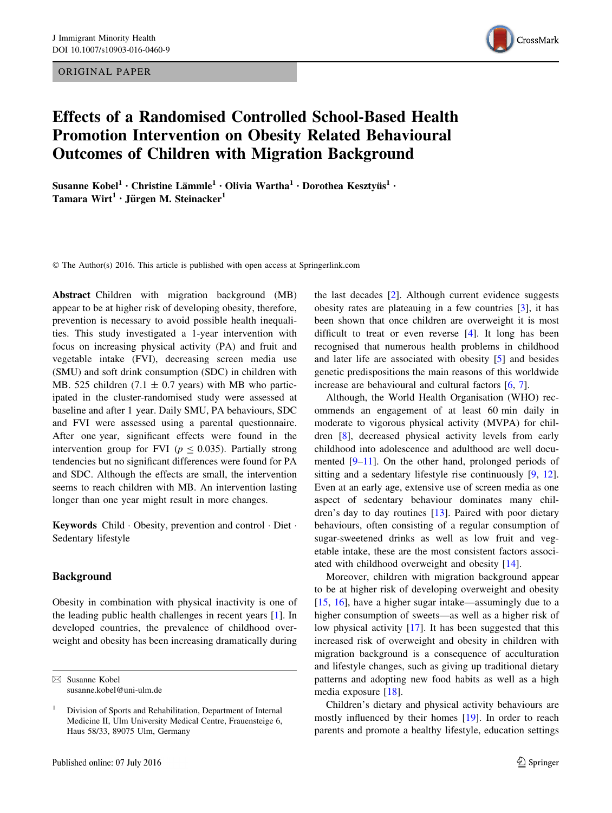ORIGINAL PAPER



# Effects of a Randomised Controlled School-Based Health Promotion Intervention on Obesity Related Behavioural Outcomes of Children with Migration Background

Susanne Kobel $^1\cdot$  Christine Lämmle $^1\cdot$  Olivia Wartha $^1\cdot$  Dorothea Kesztyüs $^1\cdot$ Tamara Wirt<sup>1</sup> · Jürgen M. Steinacker<sup>1</sup>

© The Author(s) 2016. This article is published with open access at Springerlink.com

Abstract Children with migration background (MB) appear to be at higher risk of developing obesity, therefore, prevention is necessary to avoid possible health inequalities. This study investigated a 1-year intervention with focus on increasing physical activity (PA) and fruit and vegetable intake (FVI), decreasing screen media use (SMU) and soft drink consumption (SDC) in children with MB. 525 children (7.1  $\pm$  0.7 years) with MB who participated in the cluster-randomised study were assessed at baseline and after 1 year. Daily SMU, PA behaviours, SDC and FVI were assessed using a parental questionnaire. After one year, significant effects were found in the intervention group for FVI ( $p \le 0.035$ ). Partially strong tendencies but no significant differences were found for PA and SDC. Although the effects are small, the intervention seems to reach children with MB. An intervention lasting longer than one year might result in more changes.

Keywords Child - Obesity, prevention and control - Diet - Sedentary lifestyle

#### Background

Obesity in combination with physical inactivity is one of the leading public health challenges in recent years [[1\]](#page-6-0). In developed countries, the prevalence of childhood overweight and obesity has been increasing dramatically during

 $\boxtimes$  Susanne Kobel susanne.kobel@uni-ulm.de the last decades [\[2](#page-6-0)]. Although current evidence suggests obesity rates are plateauing in a few countries [[3\]](#page-6-0), it has been shown that once children are overweight it is most difficult to treat or even reverse [[4\]](#page-6-0). It long has been recognised that numerous health problems in childhood and later life are associated with obesity [[5\]](#page-6-0) and besides genetic predispositions the main reasons of this worldwide increase are behavioural and cultural factors [\[6](#page-6-0), [7](#page-6-0)].

Although, the World Health Organisation (WHO) recommends an engagement of at least 60 min daily in moderate to vigorous physical activity (MVPA) for children [[8](#page-7-0)], decreased physical activity levels from early childhood into adolescence and adulthood are well documented [\[9–11](#page-7-0)]. On the other hand, prolonged periods of sitting and a sedentary lifestyle rise continuously [\[9](#page-7-0), [12](#page-7-0)]. Even at an early age, extensive use of screen media as one aspect of sedentary behaviour dominates many children's day to day routines [[13\]](#page-7-0). Paired with poor dietary behaviours, often consisting of a regular consumption of sugar-sweetened drinks as well as low fruit and vegetable intake, these are the most consistent factors associated with childhood overweight and obesity [\[14](#page-7-0)].

Moreover, children with migration background appear to be at higher risk of developing overweight and obesity [\[15](#page-7-0), [16](#page-7-0)], have a higher sugar intake—assumingly due to a higher consumption of sweets—as well as a higher risk of low physical activity [\[17\]](#page-7-0). It has been suggested that this increased risk of overweight and obesity in children with migration background is a consequence of acculturation and lifestyle changes, such as giving up traditional dietary patterns and adopting new food habits as well as a high media exposure [[18\]](#page-7-0).

Children's dietary and physical activity behaviours are mostly influenced by their homes [\[19](#page-7-0)]. In order to reach parents and promote a healthy lifestyle, education settings

<sup>&</sup>lt;sup>1</sup> Division of Sports and Rehabilitation, Department of Internal Medicine II, Ulm University Medical Centre, Frauensteige 6, Haus 58/33, 89075 Ulm, Germany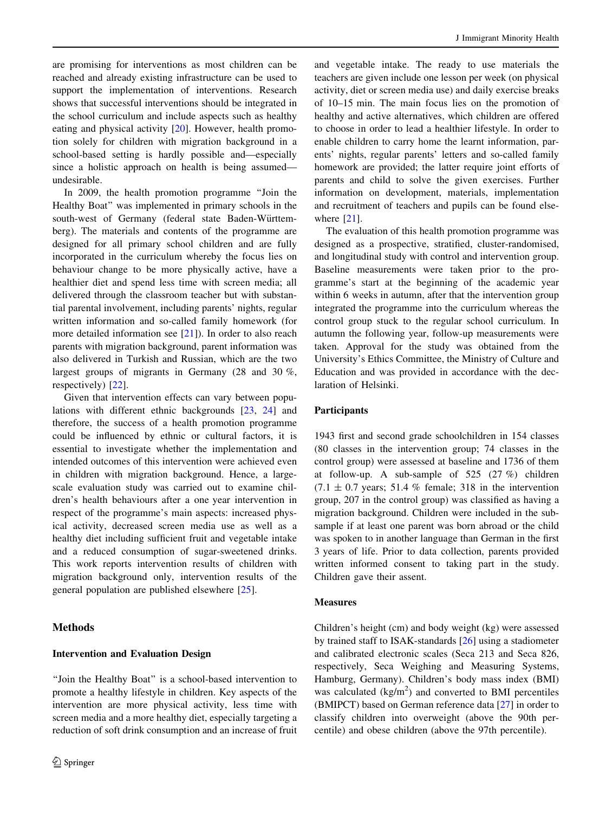are promising for interventions as most children can be reached and already existing infrastructure can be used to support the implementation of interventions. Research shows that successful interventions should be integrated in the school curriculum and include aspects such as healthy eating and physical activity [\[20](#page-7-0)]. However, health promotion solely for children with migration background in a school-based setting is hardly possible and—especially since a holistic approach on health is being assumed undesirable.

In 2009, the health promotion programme ''Join the Healthy Boat'' was implemented in primary schools in the south-west of Germany (federal state Baden-Württemberg). The materials and contents of the programme are designed for all primary school children and are fully incorporated in the curriculum whereby the focus lies on behaviour change to be more physically active, have a healthier diet and spend less time with screen media; all delivered through the classroom teacher but with substantial parental involvement, including parents' nights, regular written information and so-called family homework (for more detailed information see [\[21](#page-7-0)]). In order to also reach parents with migration background, parent information was also delivered in Turkish and Russian, which are the two largest groups of migrants in Germany (28 and 30 %, respectively) [\[22](#page-7-0)].

Given that intervention effects can vary between populations with different ethnic backgrounds [\[23](#page-7-0), [24\]](#page-7-0) and therefore, the success of a health promotion programme could be influenced by ethnic or cultural factors, it is essential to investigate whether the implementation and intended outcomes of this intervention were achieved even in children with migration background. Hence, a largescale evaluation study was carried out to examine children's health behaviours after a one year intervention in respect of the programme's main aspects: increased physical activity, decreased screen media use as well as a healthy diet including sufficient fruit and vegetable intake and a reduced consumption of sugar-sweetened drinks. This work reports intervention results of children with migration background only, intervention results of the general population are published elsewhere [[25\]](#page-7-0).

# Methods

# Intervention and Evaluation Design

''Join the Healthy Boat'' is a school-based intervention to promote a healthy lifestyle in children. Key aspects of the intervention are more physical activity, less time with screen media and a more healthy diet, especially targeting a reduction of soft drink consumption and an increase of fruit

and vegetable intake. The ready to use materials the teachers are given include one lesson per week (on physical activity, diet or screen media use) and daily exercise breaks of 10–15 min. The main focus lies on the promotion of healthy and active alternatives, which children are offered to choose in order to lead a healthier lifestyle. In order to enable children to carry home the learnt information, parents' nights, regular parents' letters and so-called family homework are provided; the latter require joint efforts of parents and child to solve the given exercises. Further information on development, materials, implementation and recruitment of teachers and pupils can be found elsewhere  $[21]$  $[21]$ .

The evaluation of this health promotion programme was designed as a prospective, stratified, cluster-randomised, and longitudinal study with control and intervention group. Baseline measurements were taken prior to the programme's start at the beginning of the academic year within 6 weeks in autumn, after that the intervention group integrated the programme into the curriculum whereas the control group stuck to the regular school curriculum. In autumn the following year, follow-up measurements were taken. Approval for the study was obtained from the University's Ethics Committee, the Ministry of Culture and Education and was provided in accordance with the declaration of Helsinki.

# Participants

1943 first and second grade schoolchildren in 154 classes (80 classes in the intervention group; 74 classes in the control group) were assessed at baseline and 1736 of them at follow-up. A sub-sample of 525 (27 %) children  $(7.1 \pm 0.7 \text{ years}; 51.4 \% \text{ female}; 318 \text{ in the intervention})$ group, 207 in the control group) was classified as having a migration background. Children were included in the subsample if at least one parent was born abroad or the child was spoken to in another language than German in the first 3 years of life. Prior to data collection, parents provided written informed consent to taking part in the study. Children gave their assent.

#### **Measures**

Children's height (cm) and body weight (kg) were assessed by trained staff to ISAK-standards [\[26](#page-7-0)] using a stadiometer and calibrated electronic scales (Seca 213 and Seca 826, respectively, Seca Weighing and Measuring Systems, Hamburg, Germany). Children's body mass index (BMI) was calculated  $(kg/m<sup>2</sup>)$  and converted to BMI percentiles (BMIPCT) based on German reference data [[27\]](#page-7-0) in order to classify children into overweight (above the 90th percentile) and obese children (above the 97th percentile).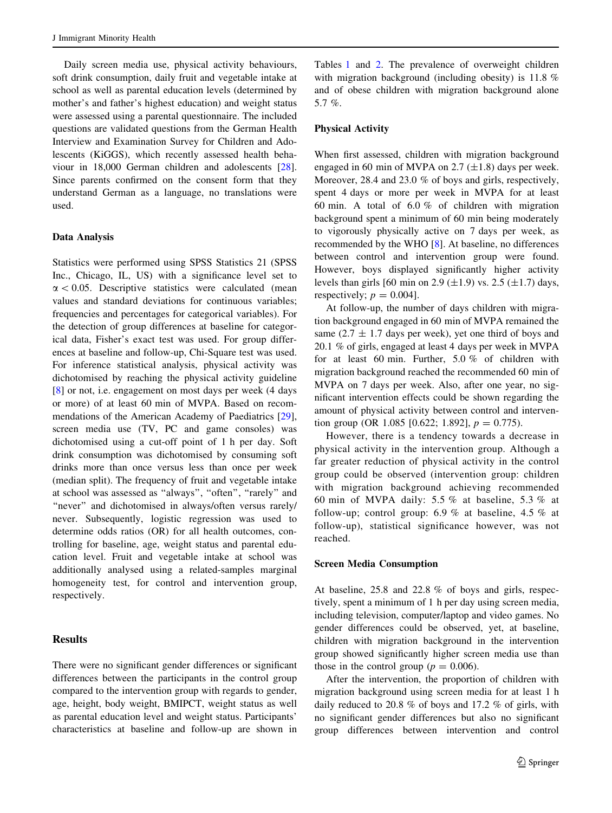Daily screen media use, physical activity behaviours, soft drink consumption, daily fruit and vegetable intake at school as well as parental education levels (determined by mother's and father's highest education) and weight status were assessed using a parental questionnaire. The included questions are validated questions from the German Health Interview and Examination Survey for Children and Adolescents (KiGGS), which recently assessed health behaviour in 18,000 German children and adolescents [\[28](#page-7-0)]. Since parents confirmed on the consent form that they understand German as a language, no translations were used.

#### Data Analysis

Statistics were performed using SPSS Statistics 21 (SPSS Inc., Chicago, IL, US) with a significance level set to  $\alpha$  < 0.05. Descriptive statistics were calculated (mean values and standard deviations for continuous variables; frequencies and percentages for categorical variables). For the detection of group differences at baseline for categorical data, Fisher's exact test was used. For group differences at baseline and follow-up, Chi-Square test was used. For inference statistical analysis, physical activity was dichotomised by reaching the physical activity guideline [\[8](#page-7-0)] or not, i.e. engagement on most days per week (4 days or more) of at least 60 min of MVPA. Based on recommendations of the American Academy of Paediatrics [\[29](#page-7-0)], screen media use (TV, PC and game consoles) was dichotomised using a cut-off point of 1 h per day. Soft drink consumption was dichotomised by consuming soft drinks more than once versus less than once per week (median split). The frequency of fruit and vegetable intake at school was assessed as ''always'', ''often'', ''rarely'' and "never" and dichotomised in always/often versus rarely/ never. Subsequently, logistic regression was used to determine odds ratios (OR) for all health outcomes, controlling for baseline, age, weight status and parental education level. Fruit and vegetable intake at school was additionally analysed using a related-samples marginal homogeneity test, for control and intervention group, respectively.

# **Results**

There were no significant gender differences or significant differences between the participants in the control group compared to the intervention group with regards to gender, age, height, body weight, BMIPCT, weight status as well as parental education level and weight status. Participants' characteristics at baseline and follow-up are shown in

Tables [1](#page-3-0) and [2.](#page-3-0) The prevalence of overweight children with migration background (including obesity) is 11.8 % and of obese children with migration background alone 5.7 %.

# Physical Activity

When first assessed, children with migration background engaged in 60 min of MVPA on 2.7  $(\pm 1.8)$  days per week. Moreover, 28.4 and 23.0 % of boys and girls, respectively, spent 4 days or more per week in MVPA for at least 60 min. A total of 6.0 % of children with migration background spent a minimum of 60 min being moderately to vigorously physically active on 7 days per week, as recommended by the WHO [[8\]](#page-7-0). At baseline, no differences between control and intervention group were found. However, boys displayed significantly higher activity levels than girls [60 min on 2.9  $(\pm 1.9)$  vs. 2.5  $(\pm 1.7)$  days, respectively;  $p = 0.004$ .

At follow-up, the number of days children with migration background engaged in 60 min of MVPA remained the same (2.7  $\pm$  1.7 days per week), yet one third of boys and 20.1 % of girls, engaged at least 4 days per week in MVPA for at least 60 min. Further, 5.0 % of children with migration background reached the recommended 60 min of MVPA on 7 days per week. Also, after one year, no significant intervention effects could be shown regarding the amount of physical activity between control and intervention group (OR 1.085 [0.622; 1.892],  $p = 0.775$ ).

However, there is a tendency towards a decrease in physical activity in the intervention group. Although a far greater reduction of physical activity in the control group could be observed (intervention group: children with migration background achieving recommended 60 min of MVPA daily: 5.5 % at baseline, 5.3 % at follow-up; control group: 6.9 % at baseline, 4.5 % at follow-up), statistical significance however, was not reached.

#### Screen Media Consumption

At baseline, 25.8 and 22.8 % of boys and girls, respectively, spent a minimum of 1 h per day using screen media, including television, computer/laptop and video games. No gender differences could be observed, yet, at baseline, children with migration background in the intervention group showed significantly higher screen media use than those in the control group ( $p = 0.006$ ).

After the intervention, the proportion of children with migration background using screen media for at least 1 h daily reduced to 20.8 % of boys and 17.2 % of girls, with no significant gender differences but also no significant group differences between intervention and control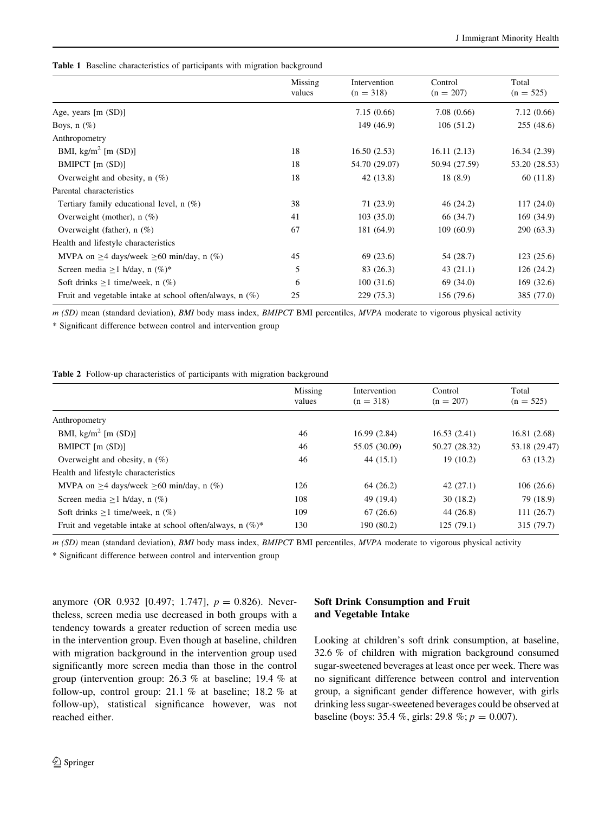<span id="page-3-0"></span>Table 1 Baseline characteristics of participants with migration background

|                                                            | Missing<br>values | Intervention<br>$(n = 318)$ | Control<br>$(n = 207)$ | Total<br>$(n = 525)$ |
|------------------------------------------------------------|-------------------|-----------------------------|------------------------|----------------------|
| Age, years $[m (SD)]$                                      |                   | 7.15(0.66)                  | 7.08(0.66)             | 7.12(0.66)           |
| Boys, $n$ (%)                                              |                   | 149 (46.9)                  | 106(51.2)              | 255(48.6)            |
| Anthropometry                                              |                   |                             |                        |                      |
| BMI, $\text{kg/m}^2$ [m (SD)]                              | 18                | 16.50(2.53)                 | 16.11(2.13)            | 16.34(2.39)          |
| BMIPCT $[m (SD)]$                                          | 18                | 54.70 (29.07)               | 50.94 (27.59)          | 53.20 (28.53)        |
| Overweight and obesity, $n$ (%)                            | 18                | 42(13.8)                    | 18(8.9)                | 60(11.8)             |
| Parental characteristics                                   |                   |                             |                        |                      |
| Tertiary family educational level, $n$ (%)                 | 38                | 71 (23.9)                   | 46(24.2)               | 117(24.0)            |
| Overweight (mother), $n$ (%)                               | 41                | 103(35.0)                   | 66 (34.7)              | 169(34.9)            |
| Overweight (father), $n$ (%)                               | 67                | 181 (64.9)                  | 109(60.9)              | 290(63.3)            |
| Health and lifestyle characteristics                       |                   |                             |                        |                      |
| MVPA on $\geq$ 4 days/week $\geq$ 60 min/day, n (%)        | 45                | 69 (23.6)                   | 54 (28.7)              | 123(25.6)            |
| Screen media $\geq 1$ h/day, n $(\%)^*$                    | 5                 | 83 (26.3)                   | 43(21.1)               | 126(24.2)            |
| Soft drinks $\geq 1$ time/week, n (%)                      | 6                 | 100(31.6)                   | 69 (34.0)              | 169(32.6)            |
| Fruit and vegetable intake at school often/always, $n$ (%) | 25                | 229 (75.3)                  | 156 (79.6)             | 385 (77.0)           |

m (SD) mean (standard deviation), BMI body mass index, BMIPCT BMI percentiles, MVPA moderate to vigorous physical activity

\* Significant difference between control and intervention group

Table 2 Follow-up characteristics of participants with migration background

|                                                               | Missing<br>values | Intervention<br>$(n = 318)$ | Control<br>$(n = 207)$ | Total<br>$(n = 525)$ |
|---------------------------------------------------------------|-------------------|-----------------------------|------------------------|----------------------|
| Anthropometry                                                 |                   |                             |                        |                      |
| BMI, $\text{kg/m}^2$ [m (SD)]                                 | 46                | 16.99(2.84)                 | 16.53(2.41)            | 16.81(2.68)          |
| BMIPCT [m (SD)]                                               | 46                | 55.05 (30.09)               | 50.27 (28.32)          | 53.18 (29.47)        |
| Overweight and obesity, $n(\%)$                               | 46                | 44(15.1)                    | 19(10.2)               | 63(13.2)             |
| Health and lifestyle characteristics                          |                   |                             |                        |                      |
| MVPA on $\geq$ 4 days/week $\geq$ 60 min/day, n (%)           | 126               | 64 (26.2)                   | 42(27.1)               | 106(26.6)            |
| Screen media $\geq 1$ h/day, n (%)                            | 108               | 49 (19.4)                   | 30(18.2)               | 79 (18.9)            |
| Soft drinks $\geq 1$ time/week, n (%)                         | 109               | 67(26.6)                    | 44 (26.8)              | 111(26.7)            |
| Fruit and vegetable intake at school often/always, n $(\%)^*$ | 130               | 190 (80.2)                  | 125(79.1)              | 315 (79.7)           |

m (SD) mean (standard deviation), BMI body mass index, BMIPCT BMI percentiles, MVPA moderate to vigorous physical activity

\* Significant difference between control and intervention group

anymore (OR 0.932 [0.497; 1.747],  $p = 0.826$ ). Nevertheless, screen media use decreased in both groups with a tendency towards a greater reduction of screen media use in the intervention group. Even though at baseline, children with migration background in the intervention group used significantly more screen media than those in the control group (intervention group: 26.3 % at baseline; 19.4 % at follow-up, control group: 21.1 % at baseline; 18.2 % at follow-up), statistical significance however, was not reached either.

# Soft Drink Consumption and Fruit and Vegetable Intake

Looking at children's soft drink consumption, at baseline, 32.6 % of children with migration background consumed sugar-sweetened beverages at least once per week. There was no significant difference between control and intervention group, a significant gender difference however, with girls drinking less sugar-sweetened beverages could be observed at baseline (boys: 35.4 %, girls: 29.8 %;  $p = 0.007$ ).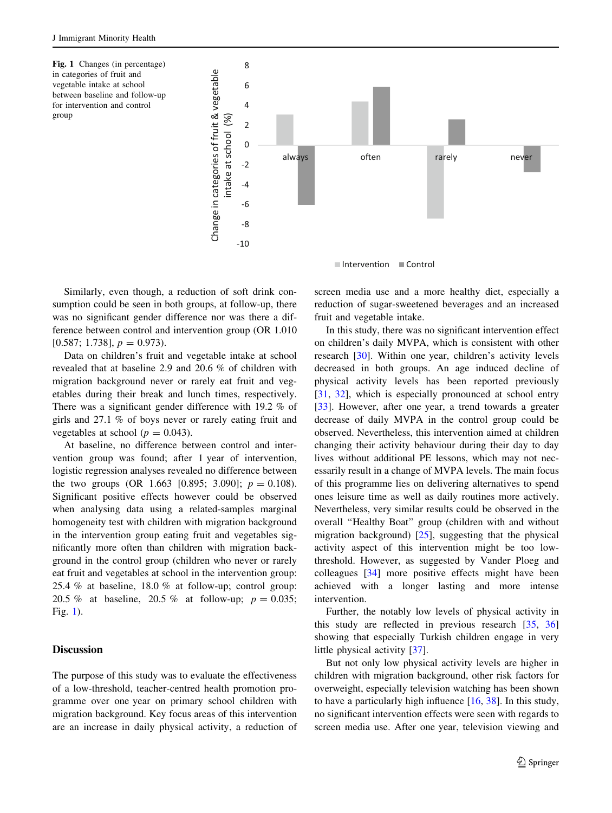Fig. 1 Changes (in percentage) in categories of fruit and vegetable intake at school between baseline and follow-up for intervention and control group



Intervention Control

Similarly, even though, a reduction of soft drink consumption could be seen in both groups, at follow-up, there was no significant gender difference nor was there a difference between control and intervention group (OR 1.010  $[0.587; 1.738], p = 0.973$ .

Data on children's fruit and vegetable intake at school revealed that at baseline 2.9 and 20.6 % of children with migration background never or rarely eat fruit and vegetables during their break and lunch times, respectively. There was a significant gender difference with 19.2 % of girls and 27.1 % of boys never or rarely eating fruit and vegetables at school ( $p = 0.043$ ).

At baseline, no difference between control and intervention group was found; after 1 year of intervention, logistic regression analyses revealed no difference between the two groups (OR 1.663 [0.895; 3.090];  $p = 0.108$ ). Significant positive effects however could be observed when analysing data using a related-samples marginal homogeneity test with children with migration background in the intervention group eating fruit and vegetables significantly more often than children with migration background in the control group (children who never or rarely eat fruit and vegetables at school in the intervention group: 25.4 % at baseline, 18.0 % at follow-up; control group: 20.5 % at baseline, 20.5 % at follow-up;  $p = 0.035$ ; Fig. 1).

# **Discussion**

The purpose of this study was to evaluate the effectiveness of a low-threshold, teacher-centred health promotion programme over one year on primary school children with migration background. Key focus areas of this intervention are an increase in daily physical activity, a reduction of screen media use and a more healthy diet, especially a reduction of sugar-sweetened beverages and an increased fruit and vegetable intake.

In this study, there was no significant intervention effect on children's daily MVPA, which is consistent with other research [\[30](#page-7-0)]. Within one year, children's activity levels decreased in both groups. An age induced decline of physical activity levels has been reported previously [\[31](#page-7-0), [32](#page-7-0)], which is especially pronounced at school entry [\[33](#page-7-0)]. However, after one year, a trend towards a greater decrease of daily MVPA in the control group could be observed. Nevertheless, this intervention aimed at children changing their activity behaviour during their day to day lives without additional PE lessons, which may not necessarily result in a change of MVPA levels. The main focus of this programme lies on delivering alternatives to spend ones leisure time as well as daily routines more actively. Nevertheless, very similar results could be observed in the overall ''Healthy Boat'' group (children with and without migration background)  $[25]$  $[25]$ , suggesting that the physical activity aspect of this intervention might be too lowthreshold. However, as suggested by Vander Ploeg and colleagues [\[34](#page-7-0)] more positive effects might have been achieved with a longer lasting and more intense intervention.

Further, the notably low levels of physical activity in this study are reflected in previous research [\[35](#page-7-0), [36\]](#page-7-0) showing that especially Turkish children engage in very little physical activity [\[37](#page-7-0)].

But not only low physical activity levels are higher in children with migration background, other risk factors for overweight, especially television watching has been shown to have a particularly high influence [[16,](#page-7-0) [38](#page-7-0)]. In this study, no significant intervention effects were seen with regards to screen media use. After one year, television viewing and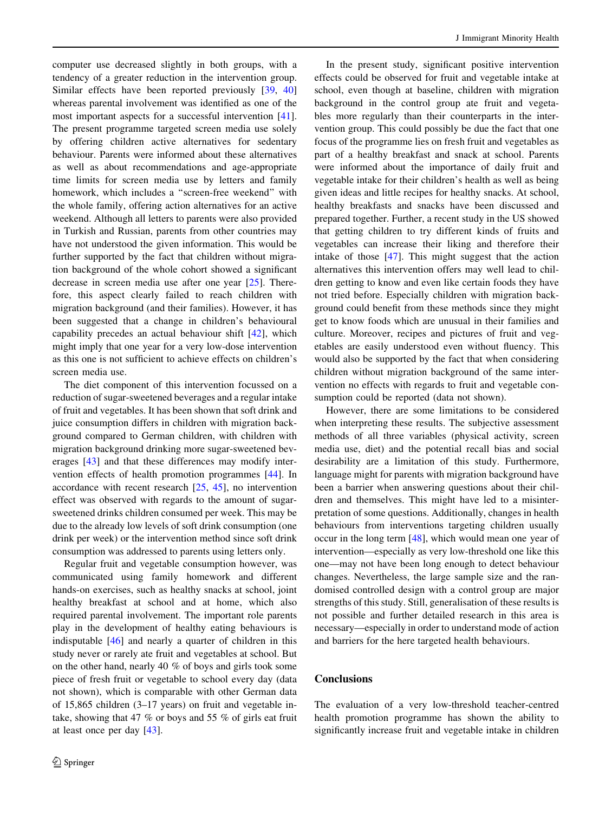computer use decreased slightly in both groups, with a tendency of a greater reduction in the intervention group. Similar effects have been reported previously [[39,](#page-7-0) [40\]](#page-7-0) whereas parental involvement was identified as one of the most important aspects for a successful intervention [\[41](#page-7-0)]. The present programme targeted screen media use solely by offering children active alternatives for sedentary behaviour. Parents were informed about these alternatives as well as about recommendations and age-appropriate time limits for screen media use by letters and family homework, which includes a ''screen-free weekend'' with the whole family, offering action alternatives for an active weekend. Although all letters to parents were also provided in Turkish and Russian, parents from other countries may have not understood the given information. This would be further supported by the fact that children without migration background of the whole cohort showed a significant decrease in screen media use after one year [\[25](#page-7-0)]. Therefore, this aspect clearly failed to reach children with migration background (and their families). However, it has been suggested that a change in children's behavioural capability precedes an actual behaviour shift [[42\]](#page-7-0), which might imply that one year for a very low-dose intervention as this one is not sufficient to achieve effects on children's screen media use.

The diet component of this intervention focussed on a reduction of sugar-sweetened beverages and a regular intake of fruit and vegetables. It has been shown that soft drink and juice consumption differs in children with migration background compared to German children, with children with migration background drinking more sugar-sweetened beverages [\[43](#page-8-0)] and that these differences may modify intervention effects of health promotion programmes [[44\]](#page-8-0). In accordance with recent research [[25,](#page-7-0) [45](#page-8-0)], no intervention effect was observed with regards to the amount of sugarsweetened drinks children consumed per week. This may be due to the already low levels of soft drink consumption (one drink per week) or the intervention method since soft drink consumption was addressed to parents using letters only.

Regular fruit and vegetable consumption however, was communicated using family homework and different hands-on exercises, such as healthy snacks at school, joint healthy breakfast at school and at home, which also required parental involvement. The important role parents play in the development of healthy eating behaviours is indisputable [\[46](#page-8-0)] and nearly a quarter of children in this study never or rarely ate fruit and vegetables at school. But on the other hand, nearly 40 % of boys and girls took some piece of fresh fruit or vegetable to school every day (data not shown), which is comparable with other German data of 15,865 children (3–17 years) on fruit and vegetable intake, showing that 47 % or boys and 55 % of girls eat fruit at least once per day [[43\]](#page-8-0).

In the present study, significant positive intervention effects could be observed for fruit and vegetable intake at school, even though at baseline, children with migration background in the control group ate fruit and vegetables more regularly than their counterparts in the intervention group. This could possibly be due the fact that one focus of the programme lies on fresh fruit and vegetables as part of a healthy breakfast and snack at school. Parents were informed about the importance of daily fruit and vegetable intake for their children's health as well as being given ideas and little recipes for healthy snacks. At school, healthy breakfasts and snacks have been discussed and prepared together. Further, a recent study in the US showed that getting children to try different kinds of fruits and vegetables can increase their liking and therefore their intake of those [\[47](#page-8-0)]. This might suggest that the action alternatives this intervention offers may well lead to children getting to know and even like certain foods they have not tried before. Especially children with migration background could benefit from these methods since they might get to know foods which are unusual in their families and culture. Moreover, recipes and pictures of fruit and vegetables are easily understood even without fluency. This would also be supported by the fact that when considering children without migration background of the same intervention no effects with regards to fruit and vegetable consumption could be reported (data not shown).

However, there are some limitations to be considered when interpreting these results. The subjective assessment methods of all three variables (physical activity, screen media use, diet) and the potential recall bias and social desirability are a limitation of this study. Furthermore, language might for parents with migration background have been a barrier when answering questions about their children and themselves. This might have led to a misinterpretation of some questions. Additionally, changes in health behaviours from interventions targeting children usually occur in the long term [[48\]](#page-8-0), which would mean one year of intervention—especially as very low-threshold one like this one—may not have been long enough to detect behaviour changes. Nevertheless, the large sample size and the randomised controlled design with a control group are major strengths of this study. Still, generalisation of these results is not possible and further detailed research in this area is necessary—especially in order to understand mode of action and barriers for the here targeted health behaviours.

# **Conclusions**

The evaluation of a very low-threshold teacher-centred health promotion programme has shown the ability to significantly increase fruit and vegetable intake in children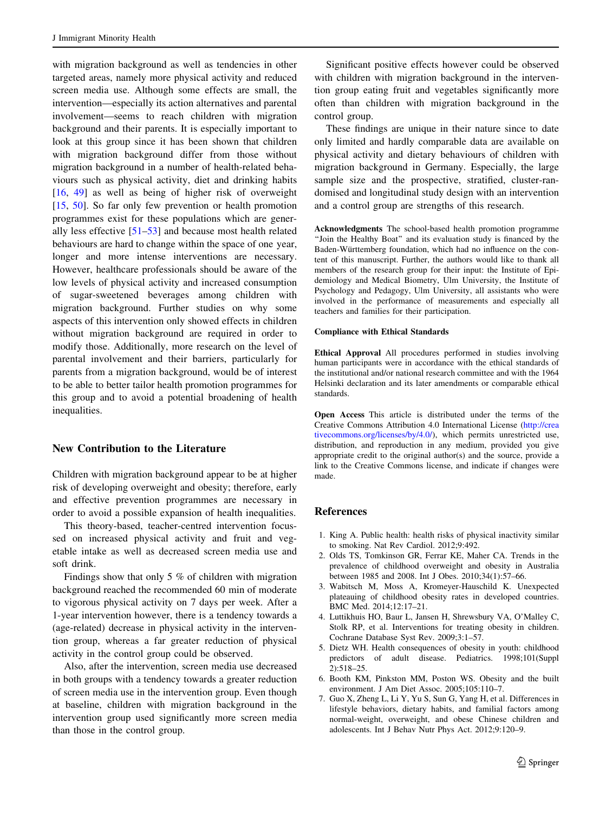<span id="page-6-0"></span>with migration background as well as tendencies in other targeted areas, namely more physical activity and reduced screen media use. Although some effects are small, the intervention—especially its action alternatives and parental involvement—seems to reach children with migration background and their parents. It is especially important to look at this group since it has been shown that children with migration background differ from those without migration background in a number of health-related behaviours such as physical activity, diet and drinking habits [\[16](#page-7-0), [49\]](#page-8-0) as well as being of higher risk of overweight [\[15](#page-7-0), [50\]](#page-8-0). So far only few prevention or health promotion programmes exist for these populations which are generally less effective [\[51–53](#page-8-0)] and because most health related behaviours are hard to change within the space of one year, longer and more intense interventions are necessary. However, healthcare professionals should be aware of the low levels of physical activity and increased consumption of sugar-sweetened beverages among children with migration background. Further studies on why some aspects of this intervention only showed effects in children without migration background are required in order to modify those. Additionally, more research on the level of parental involvement and their barriers, particularly for parents from a migration background, would be of interest to be able to better tailor health promotion programmes for this group and to avoid a potential broadening of health inequalities.

## New Contribution to the Literature

Children with migration background appear to be at higher risk of developing overweight and obesity; therefore, early and effective prevention programmes are necessary in order to avoid a possible expansion of health inequalities.

This theory-based, teacher-centred intervention focussed on increased physical activity and fruit and vegetable intake as well as decreased screen media use and soft drink.

Findings show that only 5 % of children with migration background reached the recommended 60 min of moderate to vigorous physical activity on 7 days per week. After a 1-year intervention however, there is a tendency towards a (age-related) decrease in physical activity in the intervention group, whereas a far greater reduction of physical activity in the control group could be observed.

Also, after the intervention, screen media use decreased in both groups with a tendency towards a greater reduction of screen media use in the intervention group. Even though at baseline, children with migration background in the intervention group used significantly more screen media than those in the control group.

Significant positive effects however could be observed with children with migration background in the intervention group eating fruit and vegetables significantly more often than children with migration background in the control group.

These findings are unique in their nature since to date only limited and hardly comparable data are available on physical activity and dietary behaviours of children with migration background in Germany. Especially, the large sample size and the prospective, stratified, cluster-randomised and longitudinal study design with an intervention and a control group are strengths of this research.

Acknowledgments The school-based health promotion programme ''Join the Healthy Boat'' and its evaluation study is financed by the Baden-Württemberg foundation, which had no influence on the content of this manuscript. Further, the authors would like to thank all members of the research group for their input: the Institute of Epidemiology and Medical Biometry, Ulm University, the Institute of Psychology and Pedagogy, Ulm University, all assistants who were involved in the performance of measurements and especially all teachers and families for their participation.

#### Compliance with Ethical Standards

Ethical Approval All procedures performed in studies involving human participants were in accordance with the ethical standards of the institutional and/or national research committee and with the 1964 Helsinki declaration and its later amendments or comparable ethical standards.

Open Access This article is distributed under the terms of the Creative Commons Attribution 4.0 International License ([http://crea](http://creativecommons.org/licenses/by/4.0/) [tivecommons.org/licenses/by/4.0/\)](http://creativecommons.org/licenses/by/4.0/), which permits unrestricted use, distribution, and reproduction in any medium, provided you give appropriate credit to the original author(s) and the source, provide a link to the Creative Commons license, and indicate if changes were made.

#### References

- 1. King A. Public health: health risks of physical inactivity similar to smoking. Nat Rev Cardiol. 2012;9:492.
- 2. Olds TS, Tomkinson GR, Ferrar KE, Maher CA. Trends in the prevalence of childhood overweight and obesity in Australia between 1985 and 2008. Int J Obes. 2010;34(1):57–66.
- 3. Wabitsch M, Moss A, Kromeyer-Hauschild K. Unexpected plateauing of childhood obesity rates in developed countries. BMC Med. 2014;12:17–21.
- 4. Luttikhuis HO, Baur L, Jansen H, Shrewsbury VA, O'Malley C, Stolk RP, et al. Interventions for treating obesity in children. Cochrane Database Syst Rev. 2009;3:1–57.
- 5. Dietz WH. Health consequences of obesity in youth: childhood predictors of adult disease. Pediatrics. 1998;101(Suppl 2):518–25.
- 6. Booth KM, Pinkston MM, Poston WS. Obesity and the built environment. J Am Diet Assoc. 2005;105:110–7.
- 7. Guo X, Zheng L, Li Y, Yu S, Sun G, Yang H, et al. Differences in lifestyle behaviors, dietary habits, and familial factors among normal-weight, overweight, and obese Chinese children and adolescents. Int J Behav Nutr Phys Act. 2012;9:120–9.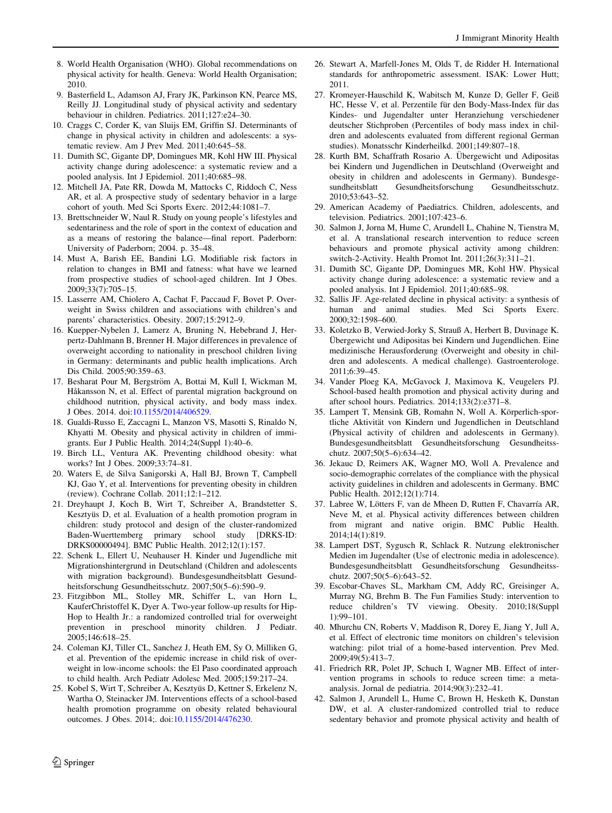- <span id="page-7-0"></span>8. World Health Organisation (WHO). Global recommendations on physical activity for health. Geneva: World Health Organisation; 2010.
- 9. Basterfield L, Adamson AJ, Frary JK, Parkinson KN, Pearce MS, Reilly JJ. Longitudinal study of physical activity and sedentary behaviour in children. Pediatrics. 2011;127:e24–30.
- 10. Craggs C, Corder K, van Sluijs EM, Griffin SJ. Determinants of change in physical activity in children and adolescents: a systematic review. Am J Prev Med. 2011;40:645–58.
- 11. Dumith SC, Gigante DP, Domingues MR, Kohl HW III. Physical activity change during adolescence: a systematic review and a pooled analysis. Int J Epidemiol. 2011;40:685–98.
- 12. Mitchell JA, Pate RR, Dowda M, Mattocks C, Riddoch C, Ness AR, et al. A prospective study of sedentary behavior in a large cohort of youth. Med Sci Sports Exerc. 2012;44:1081–7.
- 13. Brettschneider W, Naul R. Study on young people's lifestyles and sedentariness and the role of sport in the context of education and as a means of restoring the balance—final report. Paderborn: University of Paderborn; 2004. p. 35–48.
- 14. Must A, Barish EE, Bandini LG. Modifiable risk factors in relation to changes in BMI and fatness: what have we learned from prospective studies of school-aged children. Int J Obes. 2009;33(7):705–15.
- 15. Lasserre AM, Chiolero A, Cachat F, Paccaud F, Bovet P. Overweight in Swiss children and associations with children's and parents' characteristics. Obesity. 2007;15:2912–9.
- 16. Kuepper-Nybelen J, Lamerz A, Bruning N, Hebebrand J, Herpertz-Dahlmann B, Brenner H. Major differences in prevalence of overweight according to nationality in preschool children living in Germany: determinants and public health implications. Arch Dis Child. 2005;90:359–63.
- 17. Besharat Pour M, Bergström A, Bottai M, Kull I, Wickman M, Håkansson N, et al. Effect of parental migration background on childhood nutrition, physical activity, and body mass index. J Obes. 2014. doi[:10.1155/2014/406529.](http://dx.doi.org/10.1155/2014/406529)
- 18. Gualdi-Russo E, Zaccagni L, Manzon VS, Masotti S, Rinaldo N, Khyatti M. Obesity and physical activity in children of immigrants. Eur J Public Health. 2014;24(Suppl 1):40–6.
- 19. Birch LL, Ventura AK. Preventing childhood obesity: what works? Int J Obes. 2009;33:74–81.
- 20. Waters E, de Silva Sanigorski A, Hall BJ, Brown T, Campbell KJ, Gao Y, et al. Interventions for preventing obesity in children (review). Cochrane Collab. 2011;12:1–212.
- 21. Dreyhaupt J, Koch B, Wirt T, Schreiber A, Brandstetter S, Kesztyüs D, et al. Evaluation of a health promotion program in children: study protocol and design of the cluster-randomized Baden-Wuerttemberg primary school study [DRKS-ID: DRKS00000494]. BMC Public Health. 2012;12(1):157.
- 22. Schenk L, Ellert U, Neuhauser H. Kinder und Jugendliche mit Migrationshintergrund in Deutschland (Children and adolescents with migration background). Bundesgesundheitsblatt Gesundheitsforschung Gesundheitsschutz. 2007;50(5–6):590–9.
- 23. Fitzgibbon ML, Stolley MR, Schiffer L, van Horn L, KauferChristoffel K, Dyer A. Two-year follow-up results for Hip-Hop to Health Jr.: a randomized controlled trial for overweight prevention in preschool minority children. J Pediatr. 2005;146:618–25.
- 24. Coleman KJ, Tiller CL, Sanchez J, Heath EM, Sy O, Milliken G, et al. Prevention of the epidemic increase in child risk of overweight in low-income schools: the El Paso coordinated approach to child health. Arch Pediatr Adolesc Med. 2005;159:217–24.
- 25. Kobel S, Wirt T, Schreiber A, Kesztyüs D, Kettner S, Erkelenz N, Wartha O, Steinacker JM. Interventions effects of a school-based health promotion programme on obesity related behavioural outcomes. J Obes. 2014;. doi:[10.1155/2014/476230.](http://dx.doi.org/10.1155/2014/476230)
- 26. Stewart A, Marfell-Jones M, Olds T, de Ridder H. International standards for anthropometric assessment. ISAK: Lower Hutt; 2011.
- 27. Kromeyer-Hauschild K, Wabitsch M, Kunze D, Geller F, Geiß HC, Hesse V, et al. Perzentile für den Body-Mass-Index für das Kindes- und Jugendalter unter Heranziehung verschiedener deutscher Stichproben (Percentiles of body mass index in children and adolescents evaluated from different regional German studies). Monatsschr Kinderheilkd. 2001;149:807–18.
- 28. Kurth BM, Schaffrath Rosario A. Übergewicht und Adipositas bei Kindern und Jugendlichen in Deutschland (Overweight and obesity in children and adolescents in Germany). Bundesgesundheitsblatt Gesundheitsforschung Gesundheitsschutz. 2010;53:643–52.
- 29. American Academy of Paediatrics. Children, adolescents, and television. Pediatrics. 2001;107:423–6.
- 30. Salmon J, Jorna M, Hume C, Arundell L, Chahine N, Tienstra M, et al. A translational research intervention to reduce screen behaviours and promote physical activity among children: switch-2-Activity. Health Promot Int. 2011;26(3):311–21.
- 31. Dumith SC, Gigante DP, Domingues MR, Kohl HW. Physical activity change during adolescence: a systematic review and a pooled analysis. Int J Epidemiol. 2011;40:685–98.
- 32. Sallis JF. Age-related decline in physical activity: a synthesis of human and animal studies. Med Sci Sports Exerc. 2000;32:1598–600.
- 33. Koletzko B, Verwied-Jorky S, Strauß A, Herbert B, Duvinage K. Übergewicht und Adipositas bei Kindern und Jugendlichen. Eine medizinische Herausforderung (Overweight and obesity in children and adolescents. A medical challenge). Gastroenterologe. 2011;6:39–45.
- 34. Vander Ploeg KA, McGavock J, Maximova K, Veugelers PJ. School-based health promotion and physical activity during and after school hours. Pediatrics. 2014;133(2):e371–8.
- 35. Lampert T, Mensink GB, Romahn N, Woll A. Körperlich-sportliche Aktivität von Kindern und Jugendlichen in Deutschland (Physical activity of children and adolescents in Germany). Bundesgesundheitsblatt Gesundheitsforschung Gesundheitsschutz. 2007;50(5–6):634–42.
- 36. Jekauc D, Reimers AK, Wagner MO, Woll A. Prevalence and socio-demographic correlates of the compliance with the physical activity guidelines in children and adolescents in Germany. BMC Public Health. 2012;12(1):714.
- 37. Labree W, Lötters F, van de Mheen D, Rutten F, Chavarría AR, Neve M, et al. Physical activity differences between children from migrant and native origin. BMC Public Health. 2014;14(1):819.
- 38. Lampert DST, Sygusch R, Schlack R. Nutzung elektronischer Medien im Jugendalter (Use of electronic media in adolescence). Bundesgesundheitsblatt Gesundheitsforschung Gesundheitsschutz. 2007;50(5–6):643–52.
- 39. Escobar-Chaves SL, Markham CM, Addy RC, Greisinger A, Murray NG, Brehm B. The Fun Families Study: intervention to reduce children's TV viewing. Obesity. 2010;18(Suppl 1):99–101.
- 40. Mhurchu CN, Roberts V, Maddison R, Dorey E, Jiang Y, Jull A, et al. Effect of electronic time monitors on children's television watching: pilot trial of a home-based intervention. Prev Med. 2009;49(5):413–7.
- 41. Friedrich RR, Polet JP, Schuch I, Wagner MB. Effect of intervention programs in schools to reduce screen time: a metaanalysis. Jornal de pediatria. 2014;90(3):232–41.
- 42. Salmon J, Arundell L, Hume C, Brown H, Hesketh K, Dunstan DW, et al. A cluster-randomized controlled trial to reduce sedentary behavior and promote physical activity and health of